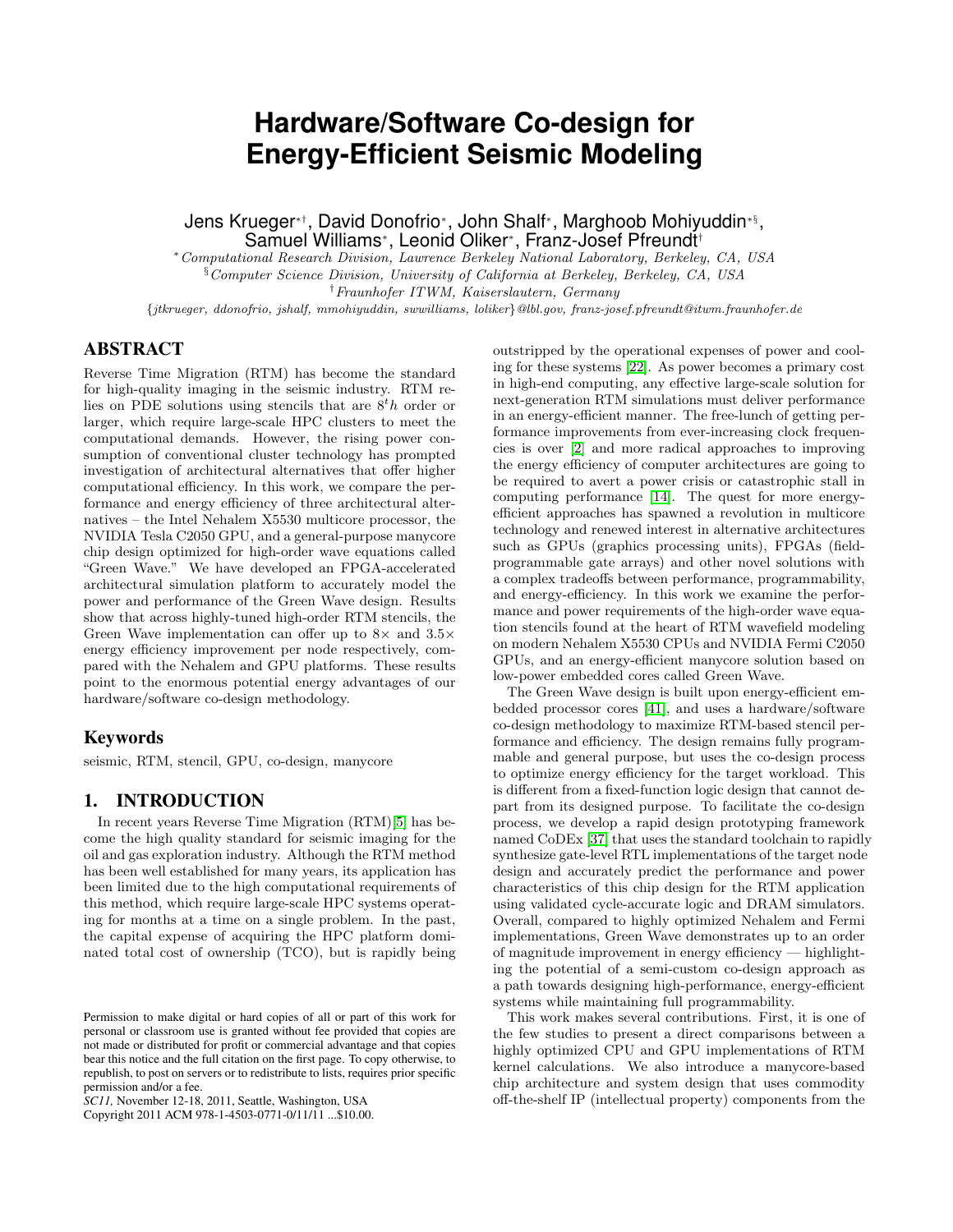# **Hardware/Software Co-design for Energy-Efficient Seismic Modeling**

Jens Krueger∗†, David Donofrio<sup>∗</sup> , John Shalf<sup>∗</sup> , Marghoob Mohiyuddin∗§ , Samuel Williams<sup>∗</sup> , Leonid Oliker<sup>∗</sup> , Franz-Josef Pfreundt†

<sup>∗</sup>Computational Research Division, Lawrence Berkeley National Laboratory, Berkeley, CA, USA §Computer Science Division, University of California at Berkeley, Berkeley, CA, USA †Fraunhofer ITWM, Kaiserslautern, Germany

{jtkrueger, ddonofrio, jshalf, mmohiyuddin, swwilliams, loliker}@lbl.gov, franz-josef.pfreundt@itwm.fraunhofer.de

# ABSTRACT

Reverse Time Migration (RTM) has become the standard for high-quality imaging in the seismic industry. RTM relies on PDE solutions using stencils that are  $8<sup>t</sup>h$  order or larger, which require large-scale HPC clusters to meet the computational demands. However, the rising power consumption of conventional cluster technology has prompted investigation of architectural alternatives that offer higher computational efficiency. In this work, we compare the performance and energy efficiency of three architectural alternatives – the Intel Nehalem X5530 multicore processor, the NVIDIA Tesla C2050 GPU, and a general-purpose manycore chip design optimized for high-order wave equations called "Green Wave." We have developed an FPGA-accelerated architectural simulation platform to accurately model the power and performance of the Green Wave design. Results show that across highly-tuned high-order RTM stencils, the Green Wave implementation can offer up to  $8\times$  and  $3.5\times$ energy efficiency improvement per node respectively, compared with the Nehalem and GPU platforms. These results point to the enormous potential energy advantages of our hardware/software co-design methodology.

## Keywords

seismic, RTM, stencil, GPU, co-design, manycore

## 1. INTRODUCTION

In recent years Reverse Time Migration (RTM)[\[5\]](#page-10-0) has become the high quality standard for seismic imaging for the oil and gas exploration industry. Although the RTM method has been well established for many years, its application has been limited due to the high computational requirements of this method, which require large-scale HPC systems operating for months at a time on a single problem. In the past, the capital expense of acquiring the HPC platform dominated total cost of ownership (TCO), but is rapidly being

Copyright 2011 ACM 978-1-4503-0771-0/11/11 ...\$10.00.

outstripped by the operational expenses of power and cooling for these systems [\[22\]](#page-10-1). As power becomes a primary cost in high-end computing, any effective large-scale solution for next-generation RTM simulations must deliver performance in an energy-efficient manner. The free-lunch of getting performance improvements from ever-increasing clock frequencies is over [\[2\]](#page-10-2) and more radical approaches to improving the energy efficiency of computer architectures are going to be required to avert a power crisis or catastrophic stall in computing performance [\[14\]](#page-10-3). The quest for more energyefficient approaches has spawned a revolution in multicore technology and renewed interest in alternative architectures such as GPUs (graphics processing units), FPGAs (fieldprogrammable gate arrays) and other novel solutions with a complex tradeoffs between performance, programmability, and energy-efficiency. In this work we examine the performance and power requirements of the high-order wave equation stencils found at the heart of RTM wavefield modeling on modern Nehalem X5530 CPUs and NVIDIA Fermi C2050 GPUs, and an energy-efficient manycore solution based on low-power embedded cores called Green Wave.

The Green Wave design is built upon energy-efficient embedded processor cores [\[41\]](#page-11-0), and uses a hardware/software co-design methodology to maximize RTM-based stencil performance and efficiency. The design remains fully programmable and general purpose, but uses the co-design process to optimize energy efficiency for the target workload. This is different from a fixed-function logic design that cannot depart from its designed purpose. To facilitate the co-design process, we develop a rapid design prototyping framework named CoDEx [\[37\]](#page-11-1) that uses the standard toolchain to rapidly synthesize gate-level RTL implementations of the target node design and accurately predict the performance and power characteristics of this chip design for the RTM application using validated cycle-accurate logic and DRAM simulators. Overall, compared to highly optimized Nehalem and Fermi implementations, Green Wave demonstrates up to an order of magnitude improvement in energy efficiency — highlighting the potential of a semi-custom co-design approach as a path towards designing high-performance, energy-efficient systems while maintaining full programmability.

This work makes several contributions. First, it is one of the few studies to present a direct comparisons between a highly optimized CPU and GPU implementations of RTM kernel calculations. We also introduce a manycore-based chip architecture and system design that uses commodity off-the-shelf IP (intellectual property) components from the

Permission to make digital or hard copies of all or part of this work for personal or classroom use is granted without fee provided that copies are not made or distributed for profit or commercial advantage and that copies bear this notice and the full citation on the first page. To copy otherwise, to republish, to post on servers or to redistribute to lists, requires prior specific permission and/or a fee.

*SC11,* November 12-18, 2011, Seattle, Washington, USA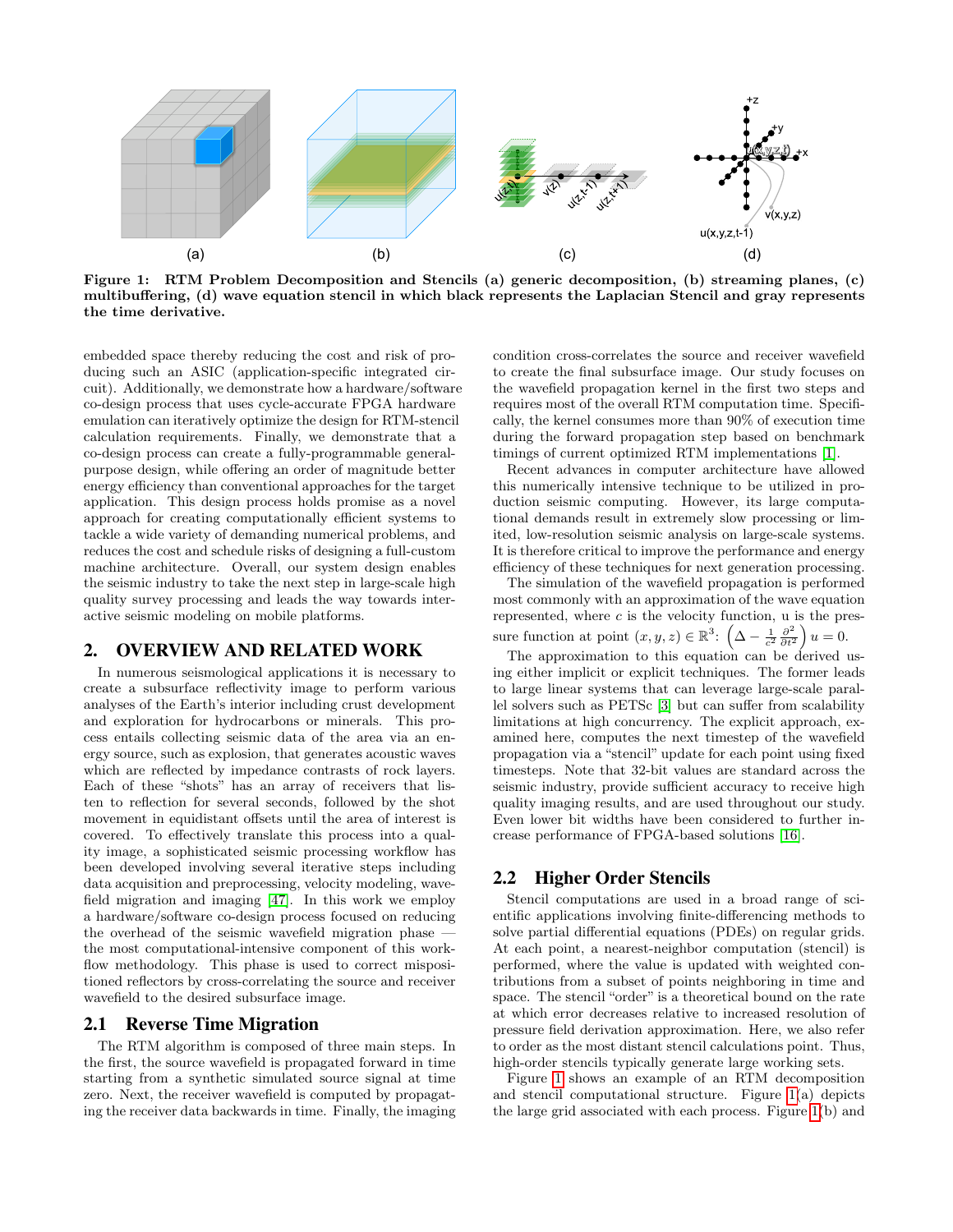

<span id="page-1-0"></span>Figure 1: RTM Problem Decomposition and Stencils (a) generic decomposition, (b) streaming planes, (c) multibuffering, (d) wave equation stencil in which black represents the Laplacian Stencil and gray represents the time derivative.

embedded space thereby reducing the cost and risk of producing such an ASIC (application-specific integrated circuit). Additionally, we demonstrate how a hardware/software co-design process that uses cycle-accurate FPGA hardware emulation can iteratively optimize the design for RTM-stencil calculation requirements. Finally, we demonstrate that a co-design process can create a fully-programmable generalpurpose design, while offering an order of magnitude better energy efficiency than conventional approaches for the target application. This design process holds promise as a novel approach for creating computationally efficient systems to tackle a wide variety of demanding numerical problems, and reduces the cost and schedule risks of designing a full-custom machine architecture. Overall, our system design enables the seismic industry to take the next step in large-scale high quality survey processing and leads the way towards interactive seismic modeling on mobile platforms.

## <span id="page-1-2"></span>2. OVERVIEW AND RELATED WORK

In numerous seismological applications it is necessary to create a subsurface reflectivity image to perform various analyses of the Earth's interior including crust development and exploration for hydrocarbons or minerals. This process entails collecting seismic data of the area via an energy source, such as explosion, that generates acoustic waves which are reflected by impedance contrasts of rock layers. Each of these "shots" has an array of receivers that listen to reflection for several seconds, followed by the shot movement in equidistant offsets until the area of interest is covered. To effectively translate this process into a quality image, a sophisticated seismic processing workflow has been developed involving several iterative steps including data acquisition and preprocessing, velocity modeling, wavefield migration and imaging [\[47\]](#page-11-2). In this work we employ a hardware/software co-design process focused on reducing the overhead of the seismic wavefield migration phase the most computational-intensive component of this workflow methodology. This phase is used to correct mispositioned reflectors by cross-correlating the source and receiver wavefield to the desired subsurface image.

## 2.1 Reverse Time Migration

The RTM algorithm is composed of three main steps. In the first, the source wavefield is propagated forward in time starting from a synthetic simulated source signal at time zero. Next, the receiver wavefield is computed by propagating the receiver data backwards in time. Finally, the imaging

condition cross-correlates the source and receiver wavefield to create the final subsurface image. Our study focuses on the wavefield propagation kernel in the first two steps and requires most of the overall RTM computation time. Specifically, the kernel consumes more than 90% of execution time during the forward propagation step based on benchmark timings of current optimized RTM implementations [\[1\]](#page-10-4).

Recent advances in computer architecture have allowed this numerically intensive technique to be utilized in production seismic computing. However, its large computational demands result in extremely slow processing or limited, low-resolution seismic analysis on large-scale systems. It is therefore critical to improve the performance and energy efficiency of these techniques for next generation processing.

The simulation of the wavefield propagation is performed most commonly with an approximation of the wave equation represented, where  $c$  is the velocity function,  $u$  is the pressure function at point  $(x, y, z) \in \mathbb{R}^3$ :  $\left(\Delta - \frac{1}{c^2} \frac{\partial^2}{\partial t^2}\right) u = 0$ .

The approximation to this equation can be derived using either implicit or explicit techniques. The former leads to large linear systems that can leverage large-scale parallel solvers such as PETSc [\[3\]](#page-10-5) but can suffer from scalability limitations at high concurrency. The explicit approach, examined here, computes the next timestep of the wavefield propagation via a "stencil" update for each point using fixed timesteps. Note that 32-bit values are standard across the seismic industry, provide sufficient accuracy to receive high quality imaging results, and are used throughout our study. Even lower bit widths have been considered to further increase performance of FPGA-based solutions [\[16\]](#page-10-6).

#### <span id="page-1-1"></span>2.2 Higher Order Stencils

Stencil computations are used in a broad range of scientific applications involving finite-differencing methods to solve partial differential equations (PDEs) on regular grids. At each point, a nearest-neighbor computation (stencil) is performed, where the value is updated with weighted contributions from a subset of points neighboring in time and space. The stencil "order" is a theoretical bound on the rate at which error decreases relative to increased resolution of pressure field derivation approximation. Here, we also refer to order as the most distant stencil calculations point. Thus, high-order stencils typically generate large working sets.

Figure [1](#page-1-0) shows an example of an RTM decomposition and stencil computational structure. Figure [1\(](#page-1-0)a) depicts the large grid associated with each process. Figure [1\(](#page-1-0)b) and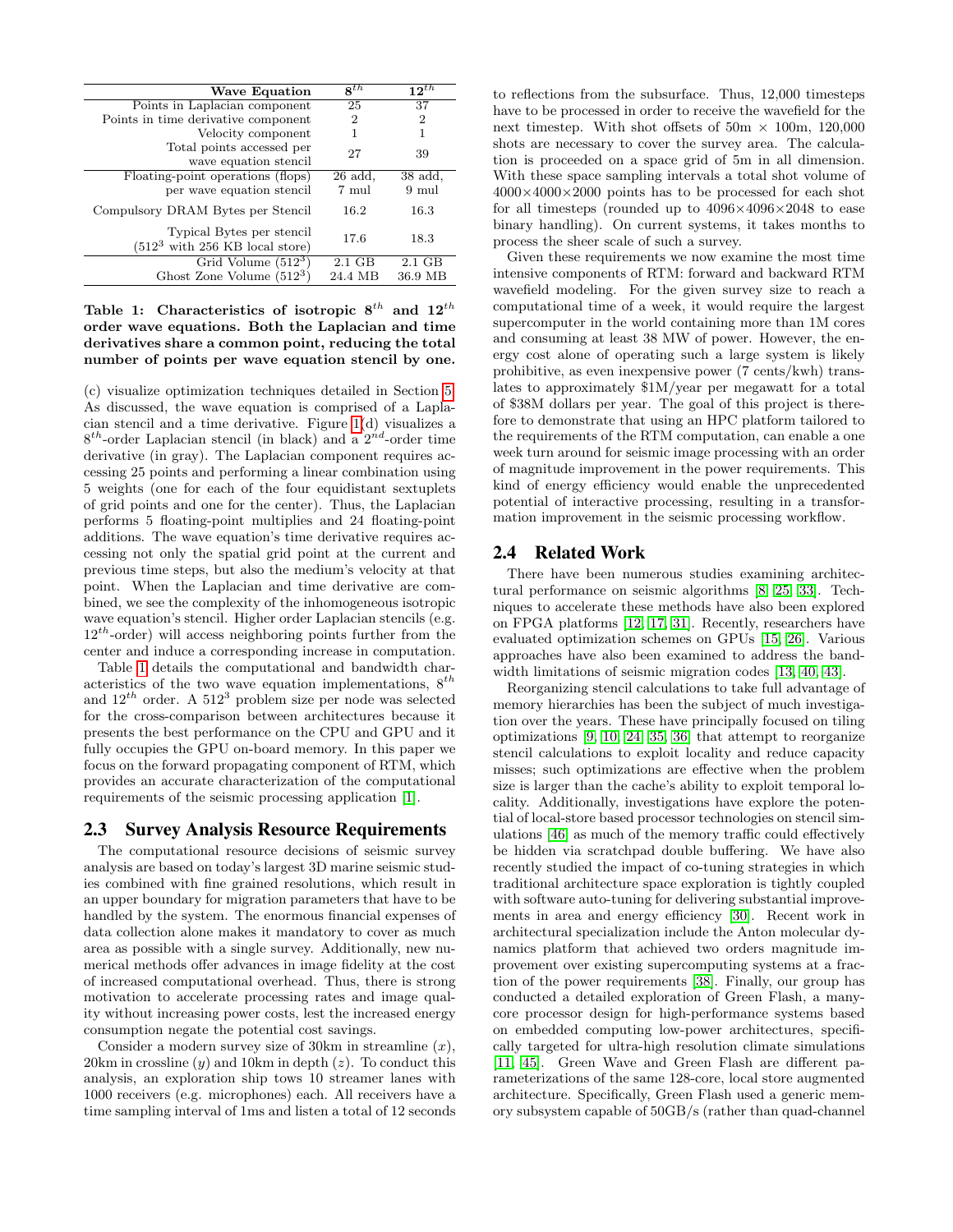| <b>Wave Equation</b>                                          | 8 <sup>th</sup> | $12^{th}$       |
|---------------------------------------------------------------|-----------------|-----------------|
| Points in Laplacian component                                 | 25              | 37              |
| Points in time derivative component                           | $\overline{2}$  | $\overline{2}$  |
| Velocity component                                            | 1               | 1               |
| Total points accessed per<br>wave equation stencil            | 27              | 39              |
| Floating-point operations (flops)                             | $26$ add,       | $38$ add,       |
| per wave equation stencil                                     | 7 mul           | $9 \text{ mul}$ |
| Compulsory DRAM Bytes per Stencil                             | 16.2            | 16.3            |
| Typical Bytes per stencil<br>$(5123$ with 256 KB local store) | 17.6            | 18.3            |
| Grid Volume $(512^3)$                                         | 2.1 GB          | $2.1$ GB        |
| Ghost Zone Volume $(512^3)$                                   | 24.4 MB         | 36.9 MB         |

#### <span id="page-2-0"></span>Table 1: Characteristics of isotropic  $8^{th}$  and  $12^{th}$ order wave equations. Both the Laplacian and time derivatives share a common point, reducing the total number of points per wave equation stencil by one.

(c) visualize optimization techniques detailed in Section [5.](#page-6-0) As discussed, the wave equation is comprised of a Laplacian stencil and a time derivative. Figure [1\(](#page-1-0)d) visualizes a  $8^{th}$ -order Laplacian stencil (in black) and a  $2^{nd}$ -order time derivative (in gray). The Laplacian component requires accessing 25 points and performing a linear combination using 5 weights (one for each of the four equidistant sextuplets of grid points and one for the center). Thus, the Laplacian performs 5 floating-point multiplies and 24 floating-point additions. The wave equation's time derivative requires accessing not only the spatial grid point at the current and previous time steps, but also the medium's velocity at that point. When the Laplacian and time derivative are combined, we see the complexity of the inhomogeneous isotropic wave equation's stencil. Higher order Laplacian stencils (e.g.  $12^{th}$ -order) will access neighboring points further from the center and induce a corresponding increase in computation.

Table [1](#page-2-0) details the computational and bandwidth characteristics of the two wave equation implementations,  $8^{th}$ and  $12^{th}$  order. A  $512^3$  problem size per node was selected for the cross-comparison between architectures because it presents the best performance on the CPU and GPU and it fully occupies the GPU on-board memory. In this paper we focus on the forward propagating component of RTM, which provides an accurate characterization of the computational requirements of the seismic processing application [\[1\]](#page-10-4).

### <span id="page-2-1"></span>2.3 Survey Analysis Resource Requirements

The computational resource decisions of seismic survey analysis are based on today's largest 3D marine seismic studies combined with fine grained resolutions, which result in an upper boundary for migration parameters that have to be handled by the system. The enormous financial expenses of data collection alone makes it mandatory to cover as much area as possible with a single survey. Additionally, new numerical methods offer advances in image fidelity at the cost of increased computational overhead. Thus, there is strong motivation to accelerate processing rates and image quality without increasing power costs, lest the increased energy consumption negate the potential cost savings.

Consider a modern survey size of 30km in streamline  $(x)$ , 20km in crossline  $(y)$  and 10km in depth  $(z)$ . To conduct this analysis, an exploration ship tows 10 streamer lanes with 1000 receivers (e.g. microphones) each. All receivers have a time sampling interval of 1ms and listen a total of 12 seconds to reflections from the subsurface. Thus, 12,000 timesteps have to be processed in order to receive the wavefield for the next timestep. With shot offsets of  $50m \times 100m$ ,  $120,000$ shots are necessary to cover the survey area. The calculation is proceeded on a space grid of 5m in all dimension. With these space sampling intervals a total shot volume of  $4000\times4000\times2000$  points has to be processed for each shot for all timesteps (rounded up to  $4096\times4096\times2048$  to ease binary handling). On current systems, it takes months to process the sheer scale of such a survey.

Given these requirements we now examine the most time intensive components of RTM: forward and backward RTM wavefield modeling. For the given survey size to reach a computational time of a week, it would require the largest supercomputer in the world containing more than 1M cores and consuming at least 38 MW of power. However, the energy cost alone of operating such a large system is likely prohibitive, as even inexpensive power (7 cents/kwh) translates to approximately \$1M/year per megawatt for a total of \$38M dollars per year. The goal of this project is therefore to demonstrate that using an HPC platform tailored to the requirements of the RTM computation, can enable a one week turn around for seismic image processing with an order of magnitude improvement in the power requirements. This kind of energy efficiency would enable the unprecedented potential of interactive processing, resulting in a transformation improvement in the seismic processing workflow.

## 2.4 Related Work

There have been numerous studies examining architectural performance on seismic algorithms [\[8,](#page-10-7) [25,](#page-10-8) [33\]](#page-11-3). Techniques to accelerate these methods have also been explored on FPGA platforms [\[12,](#page-10-9) [17,](#page-10-10) [31\]](#page-11-4). Recently, researchers have evaluated optimization schemes on GPUs [\[15,](#page-10-11) [26\]](#page-10-12). Various approaches have also been examined to address the bandwidth limitations of seismic migration codes [\[13,](#page-10-13) [40,](#page-11-5) [43\]](#page-11-6).

Reorganizing stencil calculations to take full advantage of memory hierarchies has been the subject of much investigation over the years. These have principally focused on tiling optimizations [\[9,](#page-10-14) [10,](#page-10-15) [24,](#page-10-16) [35,](#page-11-7) [36\]](#page-11-8) that attempt to reorganize stencil calculations to exploit locality and reduce capacity misses; such optimizations are effective when the problem size is larger than the cache's ability to exploit temporal locality. Additionally, investigations have explore the potential of local-store based processor technologies on stencil simulations [\[46\]](#page-11-9) as much of the memory traffic could effectively be hidden via scratchpad double buffering. We have also recently studied the impact of co-tuning strategies in which traditional architecture space exploration is tightly coupled with software auto-tuning for delivering substantial improvements in area and energy efficiency [\[30\]](#page-11-10). Recent work in architectural specialization include the Anton molecular dynamics platform that achieved two orders magnitude improvement over existing supercomputing systems at a fraction of the power requirements [\[38\]](#page-11-11). Finally, our group has conducted a detailed exploration of Green Flash, a manycore processor design for high-performance systems based on embedded computing low-power architectures, specifically targeted for ultra-high resolution climate simulations [\[11,](#page-10-17) [45\]](#page-11-12). Green Wave and Green Flash are different parameterizations of the same 128-core, local store augmented architecture. Specifically, Green Flash used a generic memory subsystem capable of 50GB/s (rather than quad-channel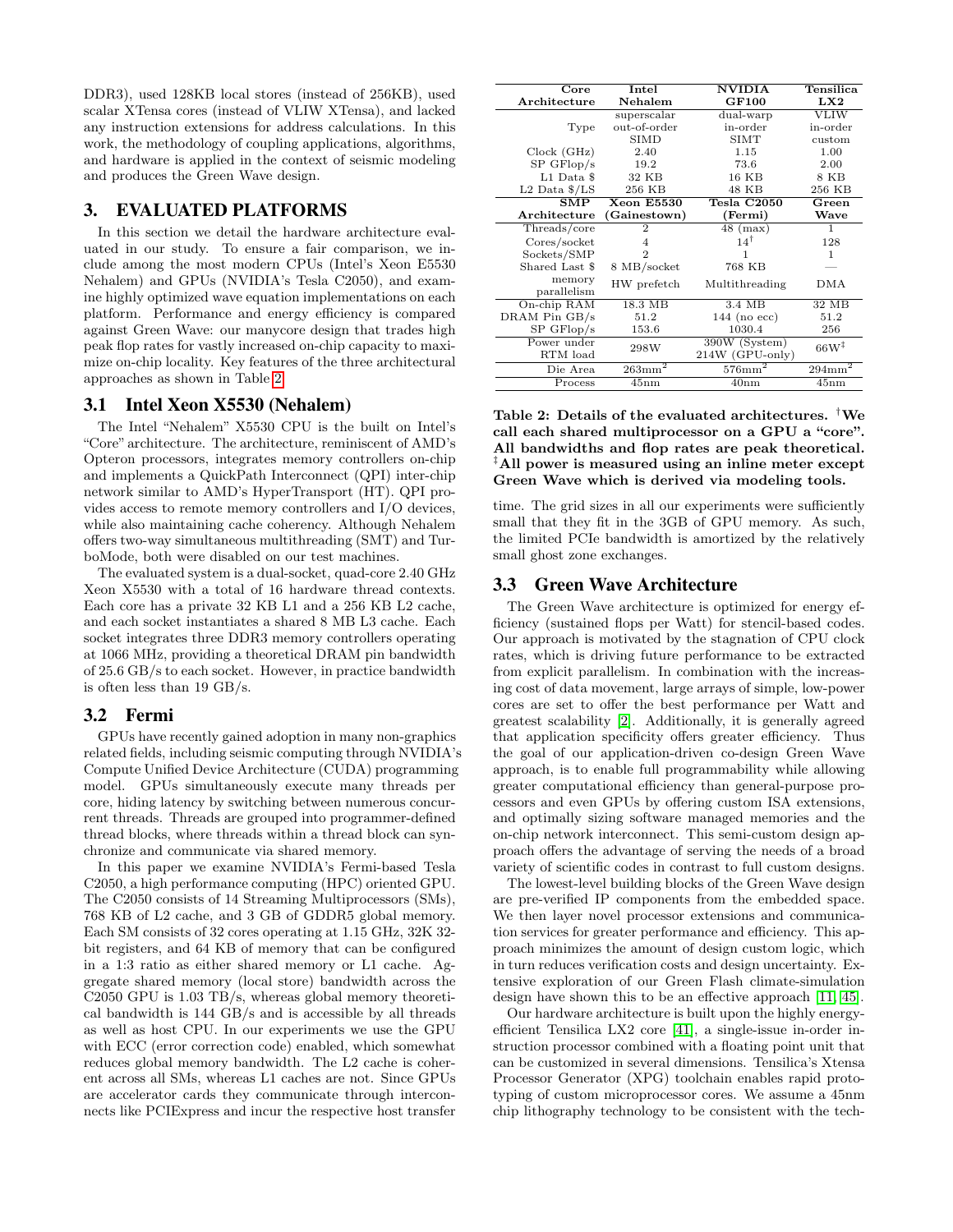DDR3), used 128KB local stores (instead of 256KB), used scalar XTensa cores (instead of VLIW XTensa), and lacked any instruction extensions for address calculations. In this work, the methodology of coupling applications, algorithms, and hardware is applied in the context of seismic modeling and produces the Green Wave design.

## 3. EVALUATED PLATFORMS

In this section we detail the hardware architecture evaluated in our study. To ensure a fair comparison, we include among the most modern CPUs (Intel's Xeon E5530 Nehalem) and GPUs (NVIDIA's Tesla C2050), and examine highly optimized wave equation implementations on each platform. Performance and energy efficiency is compared against Green Wave: our manycore design that trades high peak flop rates for vastly increased on-chip capacity to maximize on-chip locality. Key features of the three architectural approaches as shown in Table [2.](#page-3-0)

#### 3.1 Intel Xeon X5530 (Nehalem)

The Intel "Nehalem" X5530 CPU is the built on Intel's "Core" architecture. The architecture, reminiscent of AMD's Opteron processors, integrates memory controllers on-chip and implements a QuickPath Interconnect (QPI) inter-chip network similar to AMD's HyperTransport (HT). QPI provides access to remote memory controllers and I/O devices, while also maintaining cache coherency. Although Nehalem offers two-way simultaneous multithreading (SMT) and TurboMode, both were disabled on our test machines.

The evaluated system is a dual-socket, quad-core 2.40 GHz Xeon X5530 with a total of 16 hardware thread contexts. Each core has a private 32 KB L1 and a 256 KB L2 cache, and each socket instantiates a shared 8 MB L3 cache. Each socket integrates three DDR3 memory controllers operating at 1066 MHz, providing a theoretical DRAM pin bandwidth of 25.6 GB/s to each socket. However, in practice bandwidth is often less than 19 GB/s.

## 3.2 Fermi

GPUs have recently gained adoption in many non-graphics related fields, including seismic computing through NVIDIA's Compute Unified Device Architecture (CUDA) programming model. GPUs simultaneously execute many threads per core, hiding latency by switching between numerous concurrent threads. Threads are grouped into programmer-defined thread blocks, where threads within a thread block can synchronize and communicate via shared memory.

In this paper we examine NVIDIA's Fermi-based Tesla C2050, a high performance computing (HPC) oriented GPU. The C2050 consists of 14 Streaming Multiprocessors (SMs), 768 KB of L2 cache, and 3 GB of GDDR5 global memory. Each SM consists of 32 cores operating at 1.15 GHz, 32K 32 bit registers, and 64 KB of memory that can be configured in a 1:3 ratio as either shared memory or L1 cache. Aggregate shared memory (local store) bandwidth across the C2050 GPU is 1.03 TB/s, whereas global memory theoretical bandwidth is 144 GB/s and is accessible by all threads as well as host CPU. In our experiments we use the GPU with ECC (error correction code) enabled, which somewhat reduces global memory bandwidth. The L2 cache is coherent across all SMs, whereas L1 caches are not. Since GPUs are accelerator cards they communicate through interconnects like PCIExpress and incur the respective host transfer

| Core                     | Intel                 | <b>NVIDIA</b>         | <b>Tensilica</b>      |
|--------------------------|-----------------------|-----------------------|-----------------------|
| Architecture             | Nehalem               | <b>GF100</b>          | LX2                   |
|                          | superscalar           | dual-warp             | VLIW                  |
| Type                     | out-of-order          | in-order              | in-order              |
|                          | SIMD                  | SIMT                  | custom                |
| Clock (GHz)              | 2.40                  | 1.15                  | 1.00                  |
| $SP$ GFlop/s             | 19.2                  | 73.6                  | 2.00                  |
| $L1$ Data $\$            | 32 KB                 | 16 KB                 | 8 KB                  |
| $L2$ Data $\frac{s}{LS}$ | 256 KB                | 48 KB                 | 256 KB                |
| SMP                      | Xeon E5530            | Tesla C2050           | Green                 |
| Architecture             | (Gainestown)          | (Fermi)               | Wave                  |
| Threads/core             | $\overline{2}$        | $48 \; (max)$         | 1                     |
| Cores/socket             | 4                     | $14^{\dagger}$        | 128                   |
| Sockets/SMP              | $\overline{2}$        | 1                     | 1                     |
| Shared Last \$           | 8 MB/socket           | 768 KB                |                       |
| memory<br>parallelism    | HW prefetch           | Multithreading        | DMA                   |
| On-chip RAM              | 18.3 MB               | 3.4 MB                | 32 MB                 |
| DRAM Pin GB/s            | 51.2                  | $144$ (no ecc)        | 51.2                  |
| $SP$ GFlop/s             | 153.6                 | 1030.4                | 256                   |
| Power under              | 298W                  | 390W (System)         | $66W^{\ddagger}$      |
| RTM load                 |                       | 214W (GPU-only)       |                       |
| Die Area                 | $263$ mm <sup>2</sup> | $576$ mm <sup>2</sup> | $294$ mm <sup>2</sup> |
| Process                  | 45nm                  | 40 <sub>nm</sub>      | 45nm                  |

<span id="page-3-0"></span>Table 2: Details of the evaluated architectures. †We call each shared multiprocessor on a GPU a "core". All bandwidths and flop rates are peak theoretical. ‡All power is measured using an inline meter except Green Wave which is derived via modeling tools.

time. The grid sizes in all our experiments were sufficiently small that they fit in the 3GB of GPU memory. As such, the limited PCIe bandwidth is amortized by the relatively small ghost zone exchanges.

#### 3.3 Green Wave Architecture

The Green Wave architecture is optimized for energy efficiency (sustained flops per Watt) for stencil-based codes. Our approach is motivated by the stagnation of CPU clock rates, which is driving future performance to be extracted from explicit parallelism. In combination with the increasing cost of data movement, large arrays of simple, low-power cores are set to offer the best performance per Watt and greatest scalability [\[2\]](#page-10-2). Additionally, it is generally agreed that application specificity offers greater efficiency. Thus the goal of our application-driven co-design Green Wave approach, is to enable full programmability while allowing greater computational efficiency than general-purpose processors and even GPUs by offering custom ISA extensions, and optimally sizing software managed memories and the on-chip network interconnect. This semi-custom design approach offers the advantage of serving the needs of a broad variety of scientific codes in contrast to full custom designs.

The lowest-level building blocks of the Green Wave design are pre-verified IP components from the embedded space. We then layer novel processor extensions and communication services for greater performance and efficiency. This approach minimizes the amount of design custom logic, which in turn reduces verification costs and design uncertainty. Extensive exploration of our Green Flash climate-simulation design have shown this to be an effective approach [\[11,](#page-10-17) [45\]](#page-11-12).

Our hardware architecture is built upon the highly energyefficient Tensilica LX2 core [\[41\]](#page-11-0), a single-issue in-order instruction processor combined with a floating point unit that can be customized in several dimensions. Tensilica's Xtensa Processor Generator (XPG) toolchain enables rapid prototyping of custom microprocessor cores. We assume a 45nm chip lithography technology to be consistent with the tech-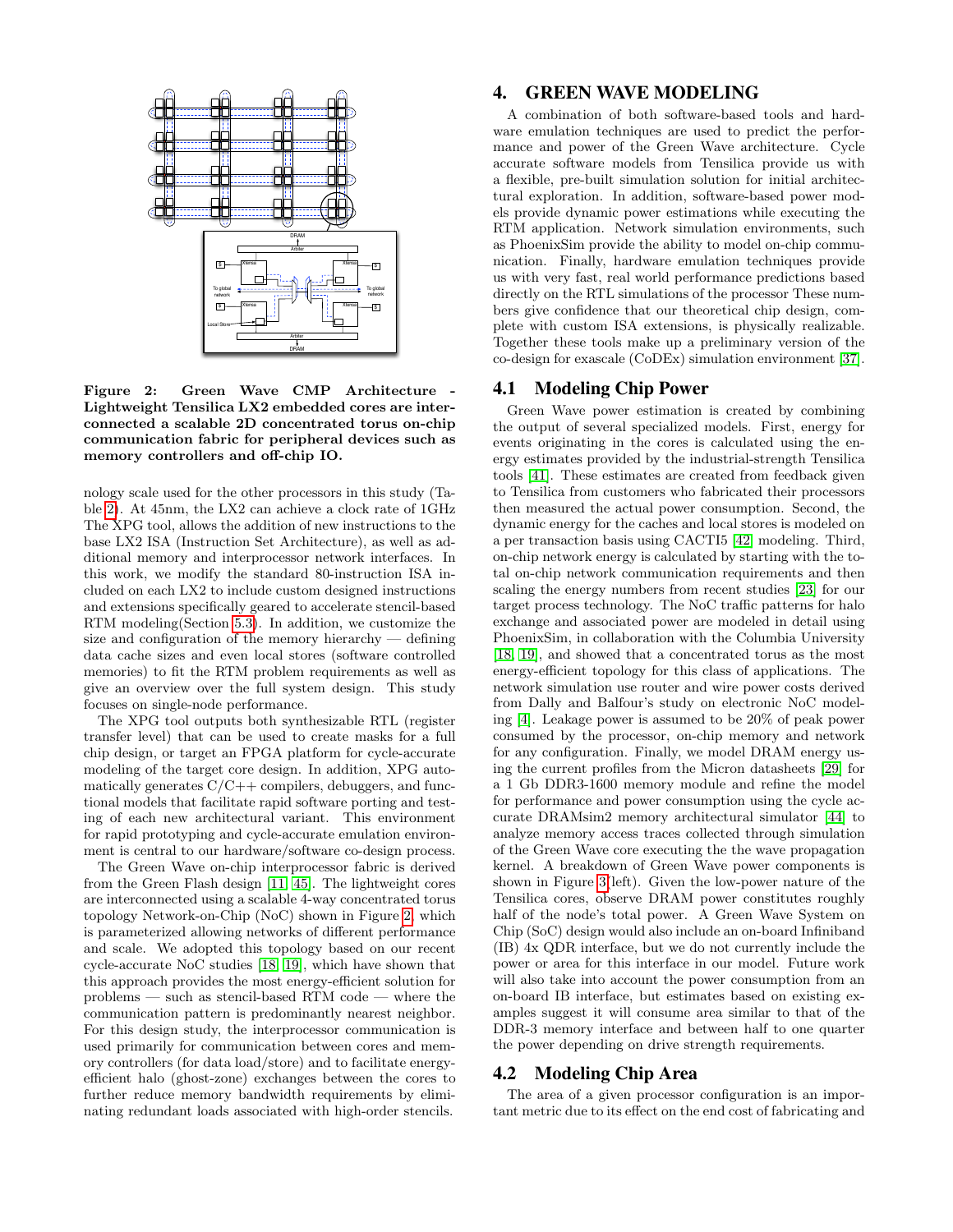

<span id="page-4-0"></span>Figure 2: Green Wave CMP Architecture - Lightweight Tensilica LX2 embedded cores are interconnected a scalable 2D concentrated torus on-chip communication fabric for peripheral devices such as memory controllers and off-chip IO.

nology scale used for the other processors in this study (Table [2\)](#page-3-0). At 45nm, the LX2 can achieve a clock rate of 1GHz The XPG tool, allows the addition of new instructions to the base LX2 ISA (Instruction Set Architecture), as well as additional memory and interprocessor network interfaces. In this work, we modify the standard 80-instruction ISA included on each LX2 to include custom designed instructions and extensions specifically geared to accelerate stencil-based RTM modeling(Section [5.3\)](#page-6-1). In addition, we customize the size and configuration of the memory hierarchy — defining data cache sizes and even local stores (software controlled memories) to fit the RTM problem requirements as well as give an overview over the full system design. This study focuses on single-node performance.

The XPG tool outputs both synthesizable RTL (register transfer level) that can be used to create masks for a full chip design, or target an FPGA platform for cycle-accurate modeling of the target core design. In addition, XPG automatically generates  $C/C++$  compilers, debuggers, and functional models that facilitate rapid software porting and testing of each new architectural variant. This environment for rapid prototyping and cycle-accurate emulation environment is central to our hardware/software co-design process.

The Green Wave on-chip interprocessor fabric is derived from the Green Flash design [\[11,](#page-10-17) [45\]](#page-11-12). The lightweight cores are interconnected using a scalable 4-way concentrated torus topology Network-on-Chip (NoC) shown in Figure [2,](#page-4-0) which is parameterized allowing networks of different performance and scale. We adopted this topology based on our recent cycle-accurate NoC studies [\[18,](#page-10-18) [19\]](#page-10-19), which have shown that this approach provides the most energy-efficient solution for problems — such as stencil-based RTM code — where the communication pattern is predominantly nearest neighbor. For this design study, the interprocessor communication is used primarily for communication between cores and memory controllers (for data load/store) and to facilitate energyefficient halo (ghost-zone) exchanges between the cores to further reduce memory bandwidth requirements by eliminating redundant loads associated with high-order stencils.

# 4. GREEN WAVE MODELING

A combination of both software-based tools and hardware emulation techniques are used to predict the performance and power of the Green Wave architecture. Cycle accurate software models from Tensilica provide us with a flexible, pre-built simulation solution for initial architectural exploration. In addition, software-based power models provide dynamic power estimations while executing the RTM application. Network simulation environments, such as PhoenixSim provide the ability to model on-chip communication. Finally, hardware emulation techniques provide us with very fast, real world performance predictions based directly on the RTL simulations of the processor These numbers give confidence that our theoretical chip design, complete with custom ISA extensions, is physically realizable. Together these tools make up a preliminary version of the co-design for exascale (CoDEx) simulation environment [\[37\]](#page-11-1).

#### 4.1 Modeling Chip Power

Green Wave power estimation is created by combining the output of several specialized models. First, energy for events originating in the cores is calculated using the energy estimates provided by the industrial-strength Tensilica tools [\[41\]](#page-11-0). These estimates are created from feedback given to Tensilica from customers who fabricated their processors then measured the actual power consumption. Second, the dynamic energy for the caches and local stores is modeled on a per transaction basis using CACTI5 [\[42\]](#page-11-13) modeling. Third, on-chip network energy is calculated by starting with the total on-chip network communication requirements and then scaling the energy numbers from recent studies [\[23\]](#page-10-20) for our target process technology. The NoC traffic patterns for halo exchange and associated power are modeled in detail using PhoenixSim, in collaboration with the Columbia University [\[18,](#page-10-18) [19\]](#page-10-19), and showed that a concentrated torus as the most energy-efficient topology for this class of applications. The network simulation use router and wire power costs derived from Dally and Balfour's study on electronic NoC modeling [\[4\]](#page-10-21). Leakage power is assumed to be 20% of peak power consumed by the processor, on-chip memory and network for any configuration. Finally, we model DRAM energy using the current profiles from the Micron datasheets [\[29\]](#page-11-14) for a 1 Gb DDR3-1600 memory module and refine the model for performance and power consumption using the cycle accurate DRAMsim2 memory architectural simulator [\[44\]](#page-11-15) to analyze memory access traces collected through simulation of the Green Wave core executing the the wave propagation kernel. A breakdown of Green Wave power components is shown in Figure [3\(](#page-5-0)left). Given the low-power nature of the Tensilica cores, observe DRAM power constitutes roughly half of the node's total power. A Green Wave System on Chip (SoC) design would also include an on-board Infiniband (IB) 4x QDR interface, but we do not currently include the power or area for this interface in our model. Future work will also take into account the power consumption from an on-board IB interface, but estimates based on existing examples suggest it will consume area similar to that of the DDR-3 memory interface and between half to one quarter the power depending on drive strength requirements.

#### 4.2 Modeling Chip Area

The area of a given processor configuration is an important metric due to its effect on the end cost of fabricating and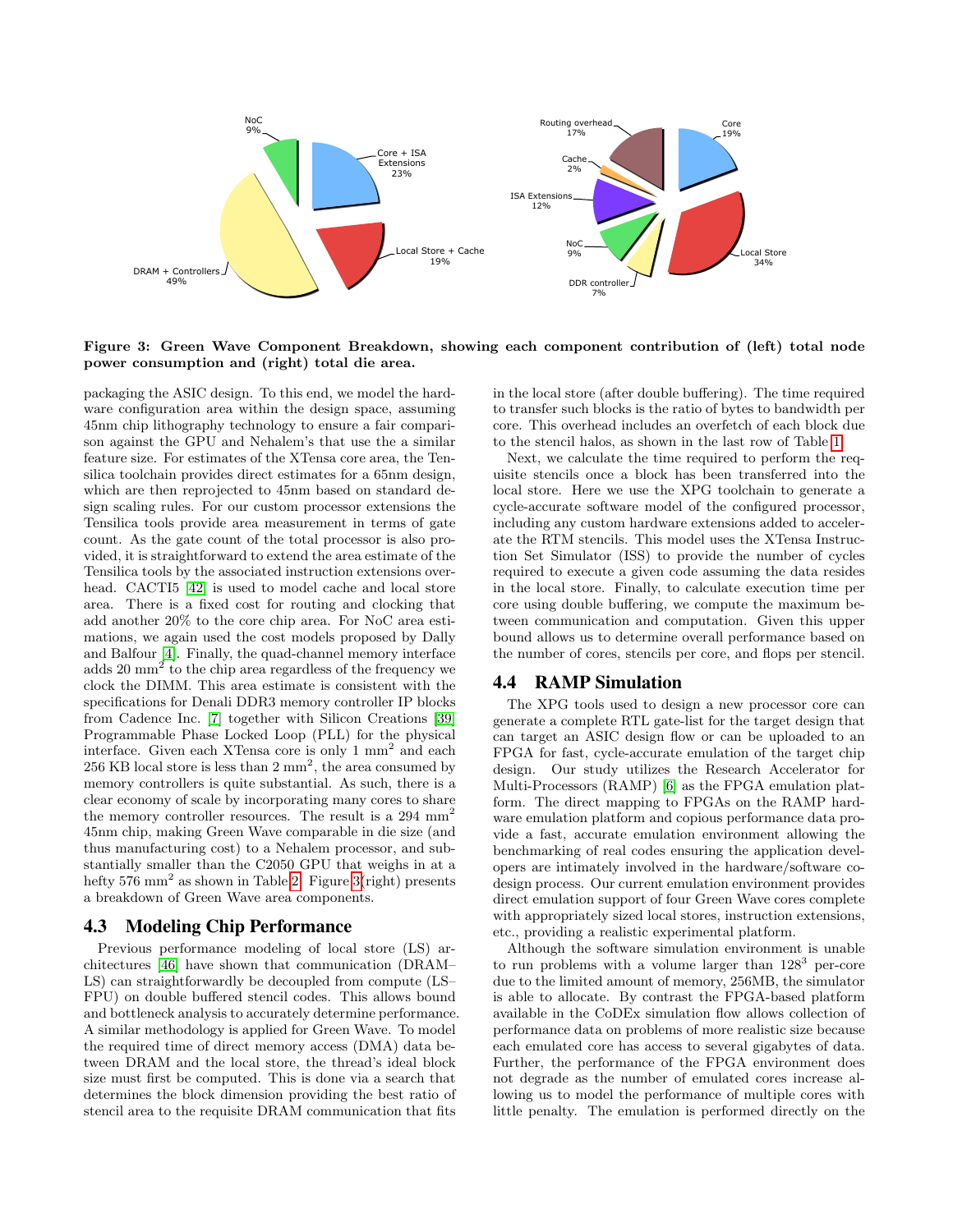

<span id="page-5-0"></span>Figure 3: Green Wave Component Breakdown, showing each component contribution of (left) total node power consumption and (right) total die area.

packaging the ASIC design. To this end, we model the hardware configuration area within the design space, assuming 45nm chip lithography technology to ensure a fair comparison against the GPU and Nehalem's that use the a similar feature size. For estimates of the XTensa core area, the Tensilica toolchain provides direct estimates for a 65nm design, which are then reprojected to 45nm based on standard design scaling rules. For our custom processor extensions the Tensilica tools provide area measurement in terms of gate count. As the gate count of the total processor is also provided, it is straightforward to extend the area estimate of the Tensilica tools by the associated instruction extensions overhead. CACTI5 [\[42\]](#page-11-13) is used to model cache and local store area. There is a fixed cost for routing and clocking that add another 20% to the core chip area. For NoC area estimations, we again used the cost models proposed by Dally and Balfour [\[4\]](#page-10-21). Finally, the quad-channel memory interface adds 20  $\text{mm}^2$  to the chip area regardless of the frequency we clock the DIMM. This area estimate is consistent with the specifications for Denali DDR3 memory controller IP blocks from Cadence Inc. [\[7\]](#page-10-22) together with Silicon Creations [\[39\]](#page-11-16) Programmable Phase Locked Loop (PLL) for the physical interface. Given each XTensa core is only 1 mm<sup>2</sup> and each 256 KB local store is less than  $2 \text{ mm}^2$ , the area consumed by memory controllers is quite substantial. As such, there is a clear economy of scale by incorporating many cores to share the memory controller resources. The result is a  $294 \text{ mm}^2$ 45nm chip, making Green Wave comparable in die size (and thus manufacturing cost) to a Nehalem processor, and substantially smaller than the C2050 GPU that weighs in at a hefty  $576$  mm<sup>2</sup> as shown in Table [2.](#page-3-0) Figure  $3$ (right) presents a breakdown of Green Wave area components.

#### 4.3 Modeling Chip Performance

Previous performance modeling of local store (LS) architectures [\[46\]](#page-11-9) have shown that communication (DRAM– LS) can straightforwardly be decoupled from compute (LS– FPU) on double buffered stencil codes. This allows bound and bottleneck analysis to accurately determine performance. A similar methodology is applied for Green Wave. To model the required time of direct memory access (DMA) data between DRAM and the local store, the thread's ideal block size must first be computed. This is done via a search that determines the block dimension providing the best ratio of stencil area to the requisite DRAM communication that fits

in the local store (after double buffering). The time required to transfer such blocks is the ratio of bytes to bandwidth per core. This overhead includes an overfetch of each block due to the stencil halos, as shown in the last row of Table [1.](#page-2-0)

Next, we calculate the time required to perform the requisite stencils once a block has been transferred into the local store. Here we use the XPG toolchain to generate a cycle-accurate software model of the configured processor, including any custom hardware extensions added to accelerate the RTM stencils. This model uses the XTensa Instruction Set Simulator (ISS) to provide the number of cycles required to execute a given code assuming the data resides in the local store. Finally, to calculate execution time per core using double buffering, we compute the maximum between communication and computation. Given this upper bound allows us to determine overall performance based on the number of cores, stencils per core, and flops per stencil.

#### 4.4 RAMP Simulation

The XPG tools used to design a new processor core can generate a complete RTL gate-list for the target design that can target an ASIC design flow or can be uploaded to an FPGA for fast, cycle-accurate emulation of the target chip design. Our study utilizes the Research Accelerator for Multi-Processors (RAMP) [\[6\]](#page-10-23) as the FPGA emulation platform. The direct mapping to FPGAs on the RAMP hardware emulation platform and copious performance data provide a fast, accurate emulation environment allowing the benchmarking of real codes ensuring the application developers are intimately involved in the hardware/software codesign process. Our current emulation environment provides direct emulation support of four Green Wave cores complete with appropriately sized local stores, instruction extensions, etc., providing a realistic experimental platform.

Although the software simulation environment is unable to run problems with a volume larger than  $128<sup>3</sup>$  per-core due to the limited amount of memory, 256MB, the simulator is able to allocate. By contrast the FPGA-based platform available in the CoDEx simulation flow allows collection of performance data on problems of more realistic size because each emulated core has access to several gigabytes of data. Further, the performance of the FPGA environment does not degrade as the number of emulated cores increase allowing us to model the performance of multiple cores with little penalty. The emulation is performed directly on the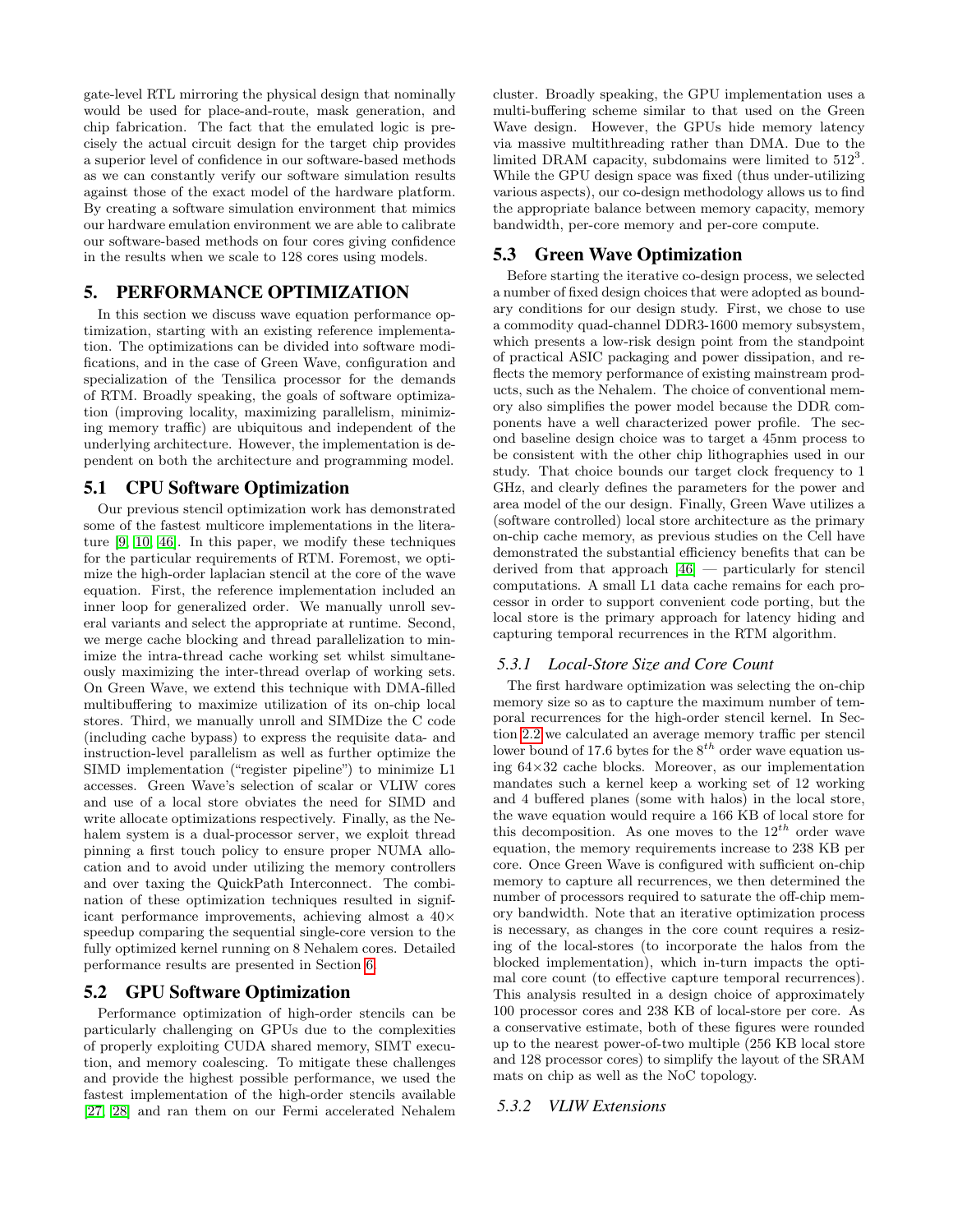gate-level RTL mirroring the physical design that nominally would be used for place-and-route, mask generation, and chip fabrication. The fact that the emulated logic is precisely the actual circuit design for the target chip provides a superior level of confidence in our software-based methods as we can constantly verify our software simulation results against those of the exact model of the hardware platform. By creating a software simulation environment that mimics our hardware emulation environment we are able to calibrate our software-based methods on four cores giving confidence in the results when we scale to 128 cores using models.

# <span id="page-6-0"></span>5. PERFORMANCE OPTIMIZATION

In this section we discuss wave equation performance optimization, starting with an existing reference implementation. The optimizations can be divided into software modifications, and in the case of Green Wave, configuration and specialization of the Tensilica processor for the demands of RTM. Broadly speaking, the goals of software optimization (improving locality, maximizing parallelism, minimizing memory traffic) are ubiquitous and independent of the underlying architecture. However, the implementation is dependent on both the architecture and programming model.

## 5.1 CPU Software Optimization

Our previous stencil optimization work has demonstrated some of the fastest multicore implementations in the literature [\[9,](#page-10-14) [10,](#page-10-15) [46\]](#page-11-9). In this paper, we modify these techniques for the particular requirements of RTM. Foremost, we optimize the high-order laplacian stencil at the core of the wave equation. First, the reference implementation included an inner loop for generalized order. We manually unroll several variants and select the appropriate at runtime. Second, we merge cache blocking and thread parallelization to minimize the intra-thread cache working set whilst simultaneously maximizing the inter-thread overlap of working sets. On Green Wave, we extend this technique with DMA-filled multibuffering to maximize utilization of its on-chip local stores. Third, we manually unroll and SIMDize the C code (including cache bypass) to express the requisite data- and instruction-level parallelism as well as further optimize the SIMD implementation ("register pipeline") to minimize L1 accesses. Green Wave's selection of scalar or VLIW cores and use of a local store obviates the need for SIMD and write allocate optimizations respectively. Finally, as the Nehalem system is a dual-processor server, we exploit thread pinning a first touch policy to ensure proper NUMA allocation and to avoid under utilizing the memory controllers and over taxing the QuickPath Interconnect. The combination of these optimization techniques resulted in significant performance improvements, achieving almost a 40× speedup comparing the sequential single-core version to the fully optimized kernel running on 8 Nehalem cores. Detailed performance results are presented in Section [6.](#page-7-0)

## 5.2 GPU Software Optimization

Performance optimization of high-order stencils can be particularly challenging on GPUs due to the complexities of properly exploiting CUDA shared memory, SIMT execution, and memory coalescing. To mitigate these challenges and provide the highest possible performance, we used the fastest implementation of the high-order stencils available [\[27,](#page-10-24) [28\]](#page-10-25) and ran them on our Fermi accelerated Nehalem cluster. Broadly speaking, the GPU implementation uses a multi-buffering scheme similar to that used on the Green Wave design. However, the GPUs hide memory latency via massive multithreading rather than DMA. Due to the limited DRAM capacity, subdomains were limited to  $512^3$ . While the GPU design space was fixed (thus under-utilizing various aspects), our co-design methodology allows us to find the appropriate balance between memory capacity, memory bandwidth, per-core memory and per-core compute.

## <span id="page-6-1"></span>5.3 Green Wave Optimization

Before starting the iterative co-design process, we selected a number of fixed design choices that were adopted as boundary conditions for our design study. First, we chose to use a commodity quad-channel DDR3-1600 memory subsystem, which presents a low-risk design point from the standpoint of practical ASIC packaging and power dissipation, and reflects the memory performance of existing mainstream products, such as the Nehalem. The choice of conventional memory also simplifies the power model because the DDR components have a well characterized power profile. The second baseline design choice was to target a 45nm process to be consistent with the other chip lithographies used in our study. That choice bounds our target clock frequency to 1 GHz, and clearly defines the parameters for the power and area model of the our design. Finally, Green Wave utilizes a (software controlled) local store architecture as the primary on-chip cache memory, as previous studies on the Cell have demonstrated the substantial efficiency benefits that can be derived from that approach [\[46\]](#page-11-9) — particularly for stencil computations. A small L1 data cache remains for each processor in order to support convenient code porting, but the local store is the primary approach for latency hiding and capturing temporal recurrences in the RTM algorithm.

## *5.3.1 Local-Store Size and Core Count*

The first hardware optimization was selecting the on-chip memory size so as to capture the maximum number of temporal recurrences for the high-order stencil kernel. In Section [2.2](#page-1-1) we calculated an average memory traffic per stencil lower bound of 17.6 bytes for the  $8^{th}$  order wave equation using 64×32 cache blocks. Moreover, as our implementation mandates such a kernel keep a working set of 12 working and 4 buffered planes (some with halos) in the local store, the wave equation would require a 166 KB of local store for this decomposition. As one moves to the  $12^{th}$  order wave equation, the memory requirements increase to 238 KB per core. Once Green Wave is configured with sufficient on-chip memory to capture all recurrences, we then determined the number of processors required to saturate the off-chip memory bandwidth. Note that an iterative optimization process is necessary, as changes in the core count requires a resizing of the local-stores (to incorporate the halos from the blocked implementation), which in-turn impacts the optimal core count (to effective capture temporal recurrences). This analysis resulted in a design choice of approximately 100 processor cores and 238 KB of local-store per core. As a conservative estimate, both of these figures were rounded up to the nearest power-of-two multiple (256 KB local store and 128 processor cores) to simplify the layout of the SRAM mats on chip as well as the NoC topology.

## *5.3.2 VLIW Extensions*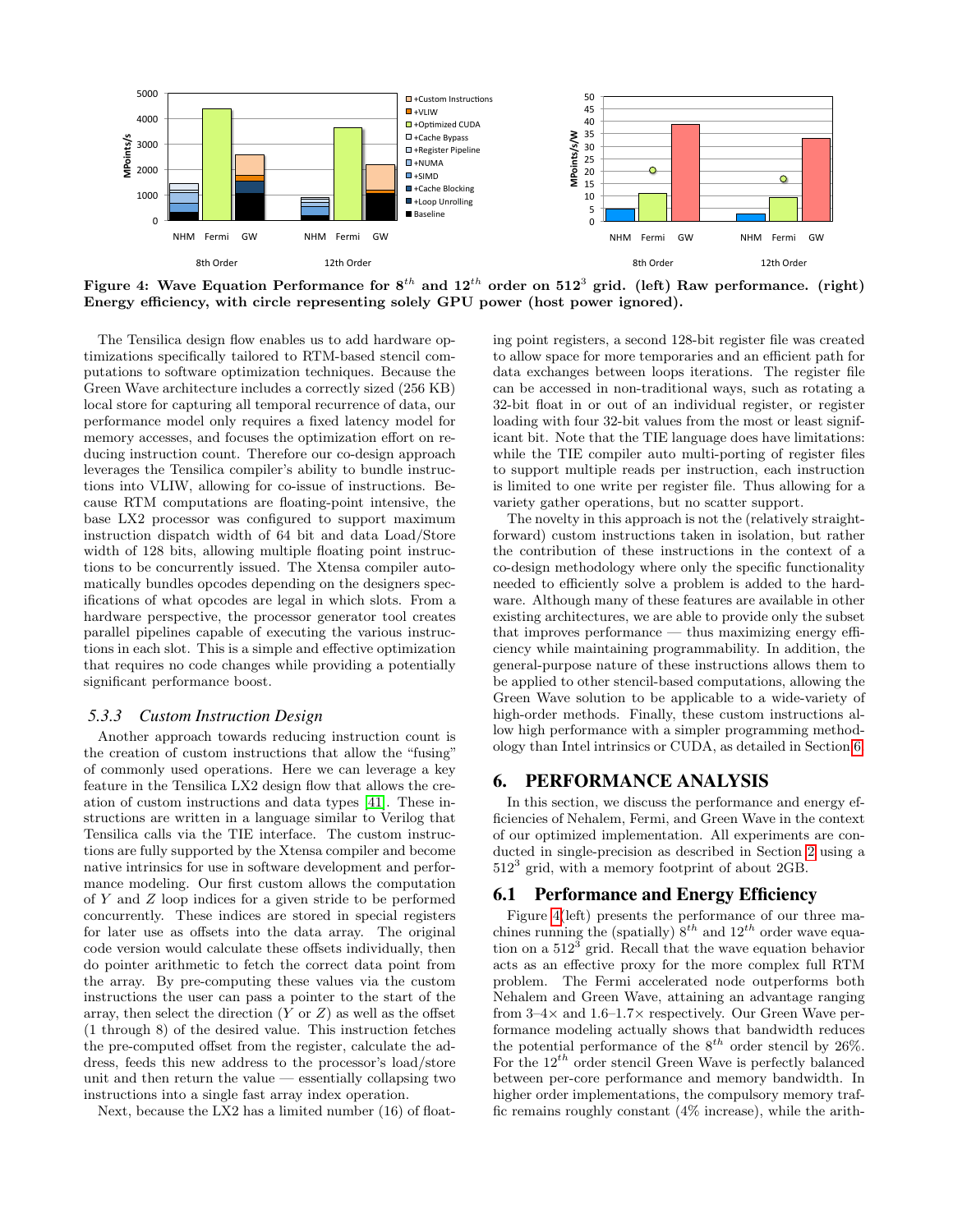

<span id="page-7-1"></span>Figure 4: Wave Equation Performance for  $8^{th}$  and  $12^{th}$  order on  $512^3$  grid. (left) Raw performance. (right) Energy efficiency, with circle representing solely GPU power (host power ignored).

The Tensilica design flow enables us to add hardware optimizations specifically tailored to RTM-based stencil computations to software optimization techniques. Because the Green Wave architecture includes a correctly sized (256 KB) local store for capturing all temporal recurrence of data, our performance model only requires a fixed latency model for memory accesses, and focuses the optimization effort on reducing instruction count. Therefore our co-design approach leverages the Tensilica compiler's ability to bundle instructions into VLIW, allowing for co-issue of instructions. Because RTM computations are floating-point intensive, the base LX2 processor was configured to support maximum instruction dispatch width of 64 bit and data Load/Store width of 128 bits, allowing multiple floating point instructions to be concurrently issued. The Xtensa compiler automatically bundles opcodes depending on the designers specifications of what opcodes are legal in which slots. From a hardware perspective, the processor generator tool creates parallel pipelines capable of executing the various instructions in each slot. This is a simple and effective optimization that requires no code changes while providing a potentially significant performance boost.

#### *5.3.3 Custom Instruction Design*

Another approach towards reducing instruction count is the creation of custom instructions that allow the "fusing" of commonly used operations. Here we can leverage a key feature in the Tensilica LX2 design flow that allows the creation of custom instructions and data types [\[41\]](#page-11-0). These instructions are written in a language similar to Verilog that Tensilica calls via the TIE interface. The custom instructions are fully supported by the Xtensa compiler and become native intrinsics for use in software development and performance modeling. Our first custom allows the computation of Y and Z loop indices for a given stride to be performed concurrently. These indices are stored in special registers for later use as offsets into the data array. The original code version would calculate these offsets individually, then do pointer arithmetic to fetch the correct data point from the array. By pre-computing these values via the custom instructions the user can pass a pointer to the start of the array, then select the direction  $(Y \text{ or } Z)$  as well as the offset (1 through 8) of the desired value. This instruction fetches the pre-computed offset from the register, calculate the address, feeds this new address to the processor's load/store unit and then return the value — essentially collapsing two instructions into a single fast array index operation.

Next, because the LX2 has a limited number (16) of float-

ing point registers, a second 128-bit register file was created to allow space for more temporaries and an efficient path for data exchanges between loops iterations. The register file can be accessed in non-traditional ways, such as rotating a 32-bit float in or out of an individual register, or register loading with four 32-bit values from the most or least significant bit. Note that the TIE language does have limitations: while the TIE compiler auto multi-porting of register files to support multiple reads per instruction, each instruction is limited to one write per register file. Thus allowing for a variety gather operations, but no scatter support.

The novelty in this approach is not the (relatively straightforward) custom instructions taken in isolation, but rather the contribution of these instructions in the context of a co-design methodology where only the specific functionality needed to efficiently solve a problem is added to the hardware. Although many of these features are available in other existing architectures, we are able to provide only the subset that improves performance — thus maximizing energy efficiency while maintaining programmability. In addition, the general-purpose nature of these instructions allows them to be applied to other stencil-based computations, allowing the Green Wave solution to be applicable to a wide-variety of high-order methods. Finally, these custom instructions allow high performance with a simpler programming methodology than Intel intrinsics or CUDA, as detailed in Section [6.](#page-7-0)

#### <span id="page-7-0"></span>6. PERFORMANCE ANALYSIS

In this section, we discuss the performance and energy efficiencies of Nehalem, Fermi, and Green Wave in the context of our optimized implementation. All experiments are conducted in single-precision as described in Section [2](#page-1-2) using a 512<sup>3</sup> grid, with a memory footprint of about 2GB.

#### 6.1 Performance and Energy Efficiency

Figure [4\(](#page-7-1)left) presents the performance of our three machines running the (spatially)  $8^{th}$  and  $12^{th}$  order wave equation on a  $512<sup>3</sup>$  grid. Recall that the wave equation behavior acts as an effective proxy for the more complex full RTM problem. The Fermi accelerated node outperforms both Nehalem and Green Wave, attaining an advantage ranging from  $3-4\times$  and  $1.6-1.7\times$  respectively. Our Green Wave performance modeling actually shows that bandwidth reduces the potential performance of the  $8^{th}$  order stencil by 26%. For the  $12^{th}$  order stencil Green Wave is perfectly balanced between per-core performance and memory bandwidth. In higher order implementations, the compulsory memory traffic remains roughly constant (4% increase), while the arith-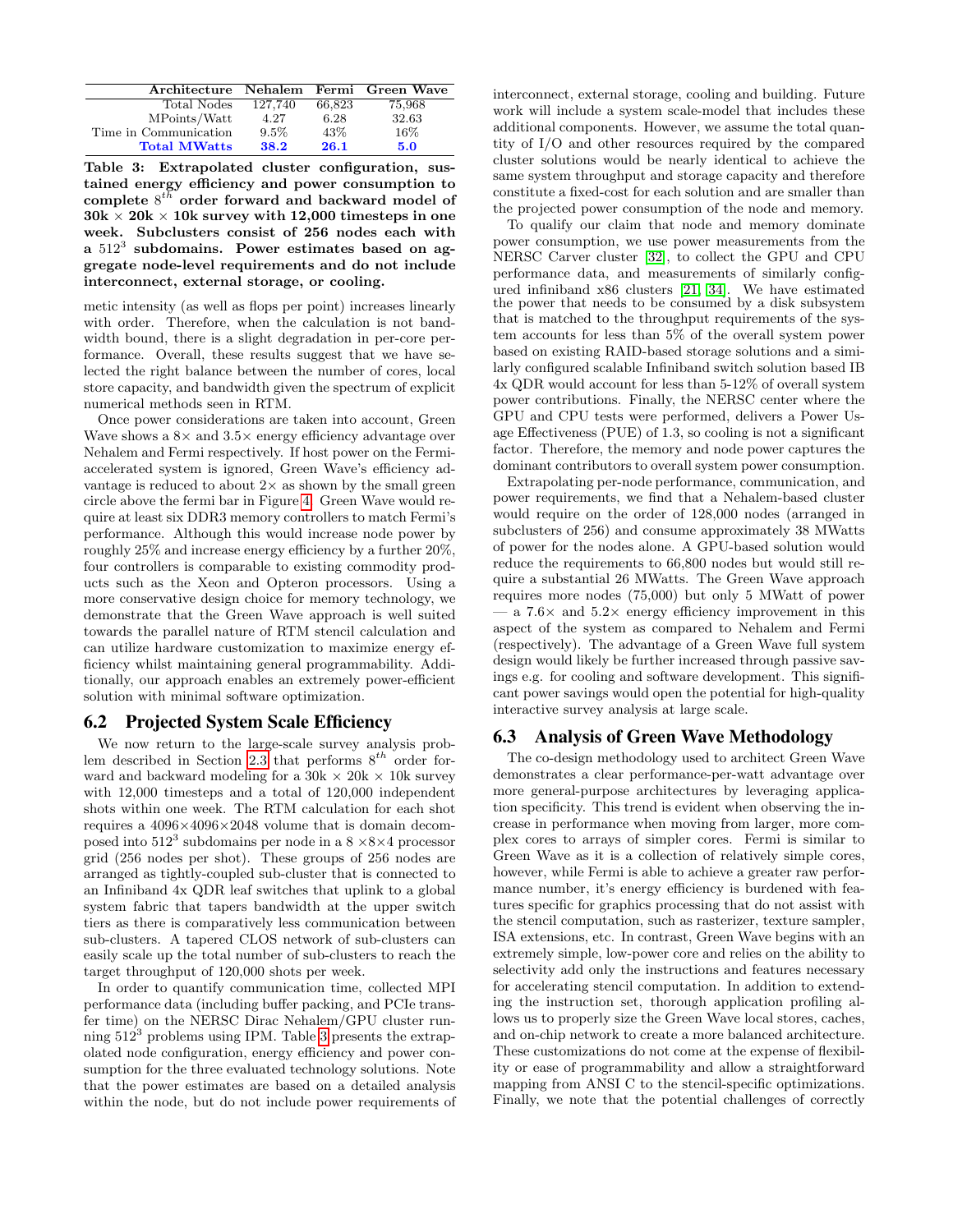| Architecture Nehalem  |         |        | Fermi Green Wave |
|-----------------------|---------|--------|------------------|
| Total Nodes           | 127.740 | 66,823 | 75,968           |
| MPoints/Watt          | 4.27    | 6.28   | 32.63            |
| Time in Communication | $9.5\%$ | 43\%   | 16\%             |
| <b>Total MWatts</b>   | 38.2    | 26.1   | 5.0              |

<span id="page-8-0"></span>Table 3: Extrapolated cluster configuration, sustained energy efficiency and power consumption to complete  $8^{th}$  order forward and backward model of  $30k \times 20k \times 10k$  survey with 12,000 timesteps in one week. Subclusters consist of 256 nodes each with a  $512<sup>3</sup>$  subdomains. Power estimates based on aggregate node-level requirements and do not include interconnect, external storage, or cooling.

metic intensity (as well as flops per point) increases linearly with order. Therefore, when the calculation is not bandwidth bound, there is a slight degradation in per-core performance. Overall, these results suggest that we have selected the right balance between the number of cores, local store capacity, and bandwidth given the spectrum of explicit numerical methods seen in RTM.

Once power considerations are taken into account, Green Wave shows a  $8\times$  and  $3.5\times$  energy efficiency advantage over Nehalem and Fermi respectively. If host power on the Fermiaccelerated system is ignored, Green Wave's efficiency advantage is reduced to about  $2 \times$  as shown by the small green circle above the fermi bar in Figure [4.](#page-7-1) Green Wave would require at least six DDR3 memory controllers to match Fermi's performance. Although this would increase node power by roughly 25% and increase energy efficiency by a further 20%, four controllers is comparable to existing commodity products such as the Xeon and Opteron processors. Using a more conservative design choice for memory technology, we demonstrate that the Green Wave approach is well suited towards the parallel nature of RTM stencil calculation and can utilize hardware customization to maximize energy efficiency whilst maintaining general programmability. Additionally, our approach enables an extremely power-efficient solution with minimal software optimization.

#### 6.2 Projected System Scale Efficiency

We now return to the large-scale survey analysis prob-lem described in Section [2.3](#page-2-1) that performs  $8^{th}$  order forward and backward modeling for a  $30k \times 20k \times 10k$  survey with 12,000 timesteps and a total of 120,000 independent shots within one week. The RTM calculation for each shot requires a 4096×4096×2048 volume that is domain decomposed into  $512^3$  subdomains per node in a  $8 \times 8 \times 4$  processor grid (256 nodes per shot). These groups of 256 nodes are arranged as tightly-coupled sub-cluster that is connected to an Infiniband 4x QDR leaf switches that uplink to a global system fabric that tapers bandwidth at the upper switch tiers as there is comparatively less communication between sub-clusters. A tapered CLOS network of sub-clusters can easily scale up the total number of sub-clusters to reach the target throughput of 120,000 shots per week.

In order to quantify communication time, collected MPI performance data (including buffer packing, and PCIe transfer time) on the NERSC Dirac Nehalem/GPU cluster running  $512<sup>3</sup>$  problems using IPM. Table [3](#page-8-0) presents the extrapolated node configuration, energy efficiency and power consumption for the three evaluated technology solutions. Note that the power estimates are based on a detailed analysis within the node, but do not include power requirements of interconnect, external storage, cooling and building. Future work will include a system scale-model that includes these additional components. However, we assume the total quantity of I/O and other resources required by the compared cluster solutions would be nearly identical to achieve the same system throughput and storage capacity and therefore constitute a fixed-cost for each solution and are smaller than the projected power consumption of the node and memory.

To qualify our claim that node and memory dominate power consumption, we use power measurements from the NERSC Carver cluster [\[32\]](#page-11-17), to collect the GPU and CPU performance data, and measurements of similarly configured infiniband x86 clusters [\[21,](#page-10-26) [34\]](#page-11-18). We have estimated the power that needs to be consumed by a disk subsystem that is matched to the throughput requirements of the system accounts for less than 5% of the overall system power based on existing RAID-based storage solutions and a similarly configured scalable Infiniband switch solution based IB 4x QDR would account for less than 5-12% of overall system power contributions. Finally, the NERSC center where the GPU and CPU tests were performed, delivers a Power Usage Effectiveness (PUE) of 1.3, so cooling is not a significant factor. Therefore, the memory and node power captures the dominant contributors to overall system power consumption.

Extrapolating per-node performance, communication, and power requirements, we find that a Nehalem-based cluster would require on the order of 128,000 nodes (arranged in subclusters of 256) and consume approximately 38 MWatts of power for the nodes alone. A GPU-based solution would reduce the requirements to 66,800 nodes but would still require a substantial 26 MWatts. The Green Wave approach requires more nodes (75,000) but only 5 MWatt of power  $-$  a 7.6 $\times$  and 5.2 $\times$  energy efficiency improvement in this aspect of the system as compared to Nehalem and Fermi (respectively). The advantage of a Green Wave full system design would likely be further increased through passive savings e.g. for cooling and software development. This significant power savings would open the potential for high-quality interactive survey analysis at large scale.

## 6.3 Analysis of Green Wave Methodology

The co-design methodology used to architect Green Wave demonstrates a clear performance-per-watt advantage over more general-purpose architectures by leveraging application specificity. This trend is evident when observing the increase in performance when moving from larger, more complex cores to arrays of simpler cores. Fermi is similar to Green Wave as it is a collection of relatively simple cores, however, while Fermi is able to achieve a greater raw performance number, it's energy efficiency is burdened with features specific for graphics processing that do not assist with the stencil computation, such as rasterizer, texture sampler, ISA extensions, etc. In contrast, Green Wave begins with an extremely simple, low-power core and relies on the ability to selectivity add only the instructions and features necessary for accelerating stencil computation. In addition to extending the instruction set, thorough application profiling allows us to properly size the Green Wave local stores, caches, and on-chip network to create a more balanced architecture. These customizations do not come at the expense of flexibility or ease of programmability and allow a straightforward mapping from ANSI C to the stencil-specific optimizations. Finally, we note that the potential challenges of correctly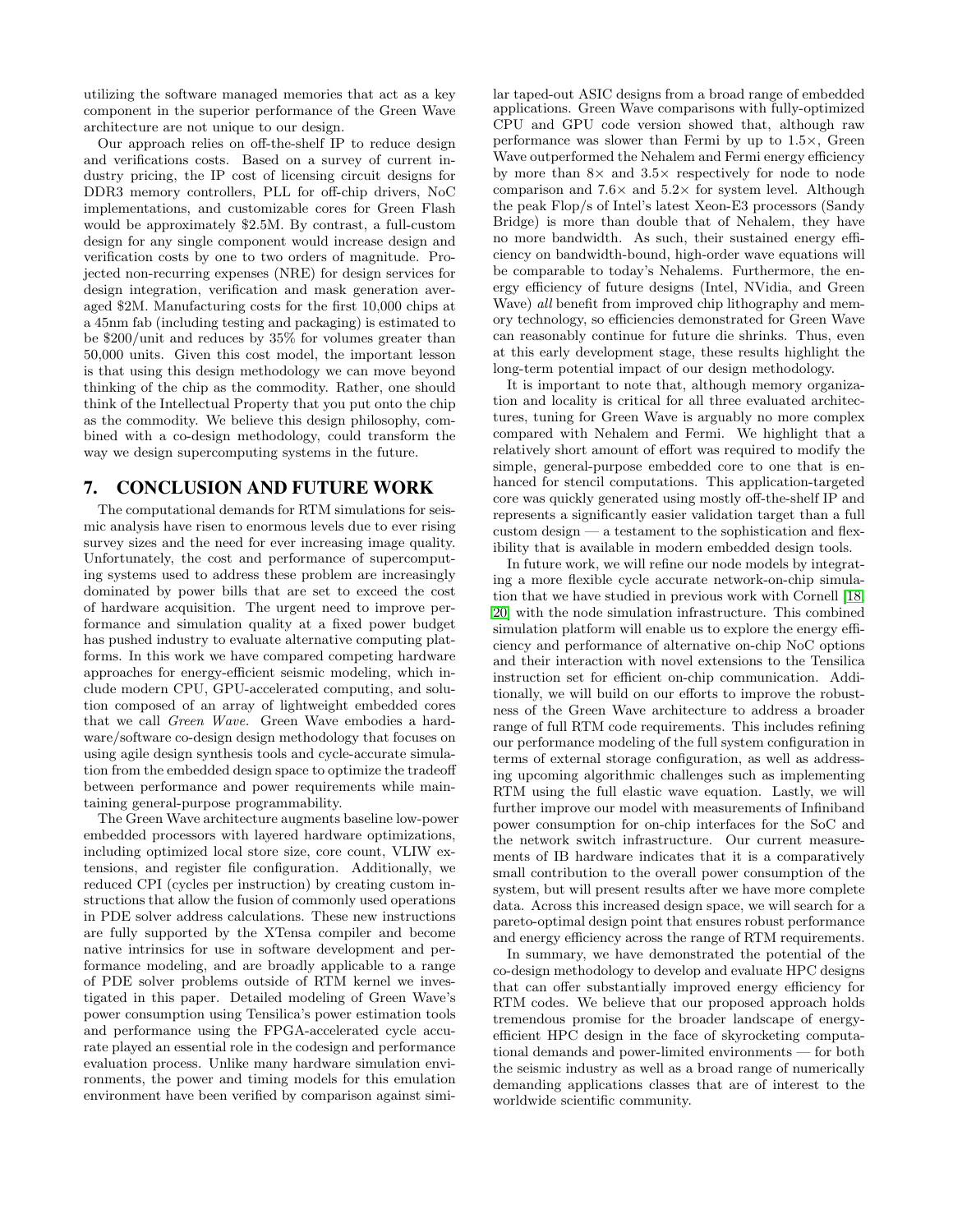utilizing the software managed memories that act as a key component in the superior performance of the Green Wave architecture are not unique to our design.

Our approach relies on off-the-shelf IP to reduce design and verifications costs. Based on a survey of current industry pricing, the IP cost of licensing circuit designs for DDR3 memory controllers, PLL for off-chip drivers, NoC implementations, and customizable cores for Green Flash would be approximately \$2.5M. By contrast, a full-custom design for any single component would increase design and verification costs by one to two orders of magnitude. Projected non-recurring expenses (NRE) for design services for design integration, verification and mask generation averaged \$2M. Manufacturing costs for the first 10,000 chips at a 45nm fab (including testing and packaging) is estimated to be \$200/unit and reduces by 35% for volumes greater than 50,000 units. Given this cost model, the important lesson is that using this design methodology we can move beyond thinking of the chip as the commodity. Rather, one should think of the Intellectual Property that you put onto the chip as the commodity. We believe this design philosophy, combined with a co-design methodology, could transform the way we design supercomputing systems in the future.

# 7. CONCLUSION AND FUTURE WORK

The computational demands for RTM simulations for seismic analysis have risen to enormous levels due to ever rising survey sizes and the need for ever increasing image quality. Unfortunately, the cost and performance of supercomputing systems used to address these problem are increasingly dominated by power bills that are set to exceed the cost of hardware acquisition. The urgent need to improve performance and simulation quality at a fixed power budget has pushed industry to evaluate alternative computing platforms. In this work we have compared competing hardware approaches for energy-efficient seismic modeling, which include modern CPU, GPU-accelerated computing, and solution composed of an array of lightweight embedded cores that we call Green Wave. Green Wave embodies a hardware/software co-design design methodology that focuses on using agile design synthesis tools and cycle-accurate simulation from the embedded design space to optimize the tradeoff between performance and power requirements while maintaining general-purpose programmability.

The Green Wave architecture augments baseline low-power embedded processors with layered hardware optimizations, including optimized local store size, core count, VLIW extensions, and register file configuration. Additionally, we reduced CPI (cycles per instruction) by creating custom instructions that allow the fusion of commonly used operations in PDE solver address calculations. These new instructions are fully supported by the XTensa compiler and become native intrinsics for use in software development and performance modeling, and are broadly applicable to a range of PDE solver problems outside of RTM kernel we investigated in this paper. Detailed modeling of Green Wave's power consumption using Tensilica's power estimation tools and performance using the FPGA-accelerated cycle accurate played an essential role in the codesign and performance evaluation process. Unlike many hardware simulation environments, the power and timing models for this emulation environment have been verified by comparison against similar taped-out ASIC designs from a broad range of embedded applications. Green Wave comparisons with fully-optimized CPU and GPU code version showed that, although raw performance was slower than Fermi by up to 1.5×, Green Wave outperformed the Nehalem and Fermi energy efficiency by more than  $8\times$  and  $3.5\times$  respectively for node to node comparison and  $7.6\times$  and  $5.2\times$  for system level. Although the peak Flop/s of Intel's latest Xeon-E3 processors (Sandy Bridge) is more than double that of Nehalem, they have no more bandwidth. As such, their sustained energy efficiency on bandwidth-bound, high-order wave equations will be comparable to today's Nehalems. Furthermore, the energy efficiency of future designs (Intel, NVidia, and Green Wave) all benefit from improved chip lithography and memory technology, so efficiencies demonstrated for Green Wave can reasonably continue for future die shrinks. Thus, even at this early development stage, these results highlight the long-term potential impact of our design methodology.

It is important to note that, although memory organization and locality is critical for all three evaluated architectures, tuning for Green Wave is arguably no more complex compared with Nehalem and Fermi. We highlight that a relatively short amount of effort was required to modify the simple, general-purpose embedded core to one that is enhanced for stencil computations. This application-targeted core was quickly generated using mostly off-the-shelf IP and represents a significantly easier validation target than a full custom design — a testament to the sophistication and flexibility that is available in modern embedded design tools.

In future work, we will refine our node models by integrating a more flexible cycle accurate network-on-chip simulation that we have studied in previous work with Cornell [\[18,](#page-10-18) [20\]](#page-10-27) with the node simulation infrastructure. This combined simulation platform will enable us to explore the energy efficiency and performance of alternative on-chip NoC options and their interaction with novel extensions to the Tensilica instruction set for efficient on-chip communication. Additionally, we will build on our efforts to improve the robustness of the Green Wave architecture to address a broader range of full RTM code requirements. This includes refining our performance modeling of the full system configuration in terms of external storage configuration, as well as addressing upcoming algorithmic challenges such as implementing RTM using the full elastic wave equation. Lastly, we will further improve our model with measurements of Infiniband power consumption for on-chip interfaces for the SoC and the network switch infrastructure. Our current measurements of IB hardware indicates that it is a comparatively small contribution to the overall power consumption of the system, but will present results after we have more complete data. Across this increased design space, we will search for a pareto-optimal design point that ensures robust performance and energy efficiency across the range of RTM requirements.

In summary, we have demonstrated the potential of the co-design methodology to develop and evaluate HPC designs that can offer substantially improved energy efficiency for RTM codes. We believe that our proposed approach holds tremendous promise for the broader landscape of energyefficient HPC design in the face of skyrocketing computational demands and power-limited environments — for both the seismic industry as well as a broad range of numerically demanding applications classes that are of interest to the worldwide scientific community.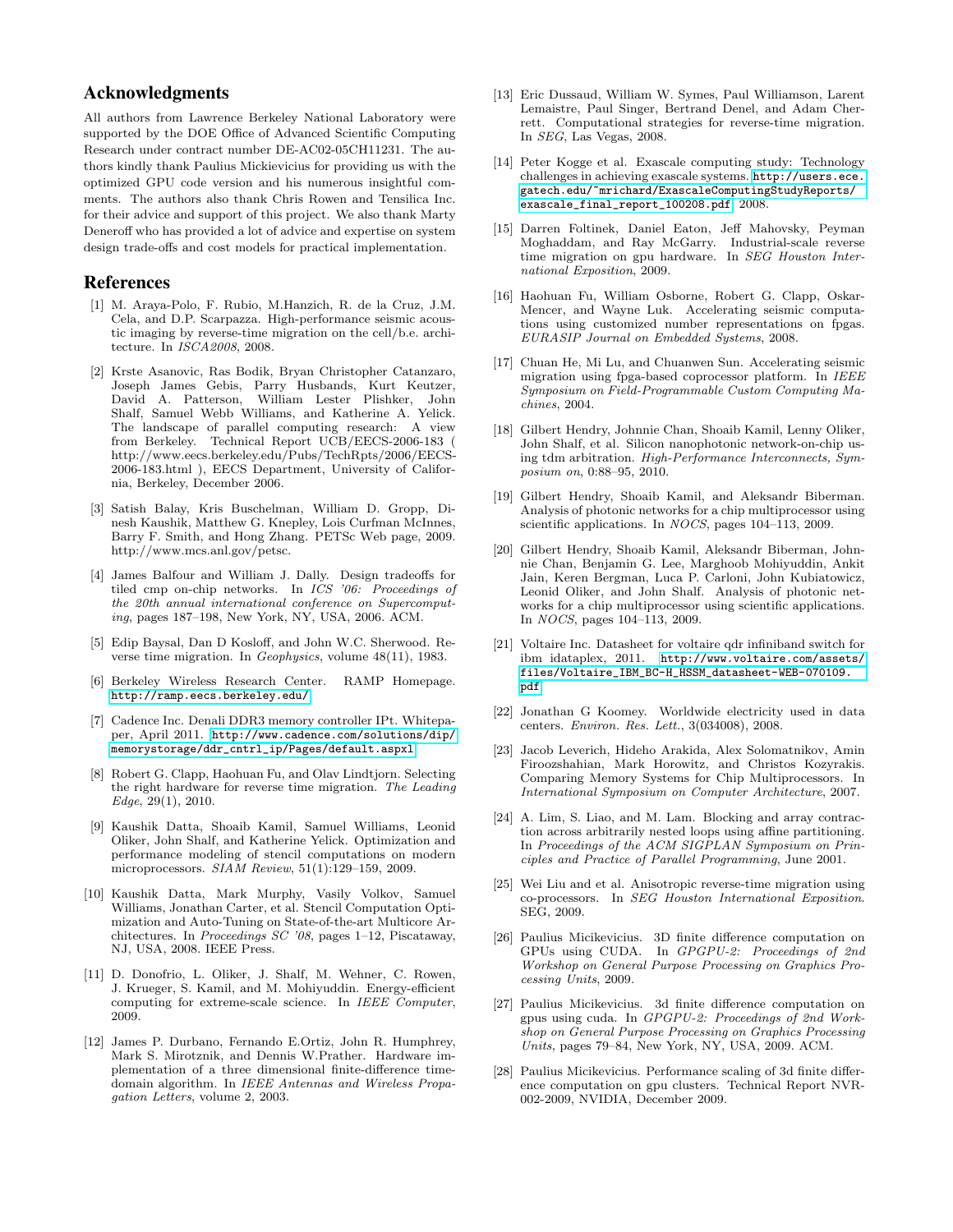## Acknowledgments

All authors from Lawrence Berkeley National Laboratory were supported by the DOE Office of Advanced Scientific Computing Research under contract number DE-AC02-05CH11231. The authors kindly thank Paulius Mickievicius for providing us with the optimized GPU code version and his numerous insightful comments. The authors also thank Chris Rowen and Tensilica Inc. for their advice and support of this project. We also thank Marty Deneroff who has provided a lot of advice and expertise on system design trade-offs and cost models for practical implementation.

#### References

- <span id="page-10-4"></span>[1] M. Araya-Polo, F. Rubio, M.Hanzich, R. de la Cruz, J.M. Cela, and D.P. Scarpazza. High-performance seismic acoustic imaging by reverse-time migration on the cell/b.e. architecture. In ISCA2008, 2008.
- <span id="page-10-2"></span>[2] Krste Asanovic, Ras Bodik, Bryan Christopher Catanzaro, Joseph James Gebis, Parry Husbands, Kurt Keutzer, David A. Patterson, William Lester Plishker, John Shalf, Samuel Webb Williams, and Katherine A. Yelick. The landscape of parallel computing research: A view from Berkeley. Technical Report UCB/EECS-2006-183 ( http://www.eecs.berkeley.edu/Pubs/TechRpts/2006/EECS-2006-183.html ), EECS Department, University of California, Berkeley, December 2006.
- <span id="page-10-5"></span>[3] Satish Balay, Kris Buschelman, William D. Gropp, Dinesh Kaushik, Matthew G. Knepley, Lois Curfman McInnes, Barry F. Smith, and Hong Zhang. PETSc Web page, 2009. http://www.mcs.anl.gov/petsc.
- <span id="page-10-21"></span>[4] James Balfour and William J. Dally. Design tradeoffs for tiled cmp on-chip networks. In  $\overline{ICS}$  '06: Proceedings of the 20th annual international conference on Supercomputing, pages 187–198, New York, NY, USA, 2006. ACM.
- <span id="page-10-0"></span>[5] Edip Baysal, Dan D Kosloff, and John W.C. Sherwood. Reverse time migration. In Geophysics, volume 48(11), 1983.
- <span id="page-10-23"></span>[6] Berkeley Wireless Research Center. RAMP Homepage. <http://ramp.eecs.berkeley.edu/>.
- <span id="page-10-22"></span>[7] Cadence Inc. Denali DDR3 memory controller IPt. Whitepaper, April 2011. [http://www.cadence.com/solutions/dip/](http://www.cadence.com/solutions/dip/memorystorage/ddr_cntrl_ip/Pages/default.aspxl) [memorystorage/ddr\\_cntrl\\_ip/Pages/default.aspxl](http://www.cadence.com/solutions/dip/memorystorage/ddr_cntrl_ip/Pages/default.aspxl).
- <span id="page-10-7"></span>[8] Robert G. Clapp, Haohuan Fu, and Olav Lindtjorn. Selecting the right hardware for reverse time migration. The Leading  $Edge, 29(1), 2010.$
- <span id="page-10-14"></span>[9] Kaushik Datta, Shoaib Kamil, Samuel Williams, Leonid Oliker, John Shalf, and Katherine Yelick. Optimization and performance modeling of stencil computations on modern microprocessors. SIAM Review, 51(1):129–159, 2009.
- <span id="page-10-15"></span>[10] Kaushik Datta, Mark Murphy, Vasily Volkov, Samuel Williams, Jonathan Carter, et al. Stencil Computation Optimization and Auto-Tuning on State-of-the-art Multicore Architectures. In Proceedings SC '08, pages 1–12, Piscataway, NJ, USA, 2008. IEEE Press.
- <span id="page-10-17"></span>[11] D. Donofrio, L. Oliker, J. Shalf, M. Wehner, C. Rowen, J. Krueger, S. Kamil, and M. Mohiyuddin. Energy-efficient computing for extreme-scale science. In IEEE Computer, 2009.
- <span id="page-10-9"></span>[12] James P. Durbano, Fernando E.Ortiz, John R. Humphrey, Mark S. Mirotznik, and Dennis W.Prather. Hardware implementation of a three dimensional finite-difference timedomain algorithm. In IEEE Antennas and Wireless Propagation Letters, volume 2, 2003.
- <span id="page-10-13"></span>[13] Eric Dussaud, William W. Symes, Paul Williamson, Larent Lemaistre, Paul Singer, Bertrand Denel, and Adam Cherrett. Computational strategies for reverse-time migration. In SEG, Las Vegas, 2008.
- <span id="page-10-3"></span>[14] Peter Kogge et al. Exascale computing study: Technology challenges in achieving exascale systems. [http://users.ece.](http://users.ece.gatech.edu/~mrichard/ExascaleComputingStudyReports/exascale_final_report_100208.pdf) [gatech.edu/~mrichard/ExascaleComputingStudyReports/](http://users.ece.gatech.edu/~mrichard/ExascaleComputingStudyReports/exascale_final_report_100208.pdf) [exascale\\_final\\_report\\_100208.pdf](http://users.ece.gatech.edu/~mrichard/ExascaleComputingStudyReports/exascale_final_report_100208.pdf), 2008.
- <span id="page-10-11"></span>[15] Darren Foltinek, Daniel Eaton, Jeff Mahovsky, Peyman Moghaddam, and Ray McGarry. Industrial-scale reverse time migration on gpu hardware. In SEG Houston International Exposition, 2009.
- <span id="page-10-6"></span>[16] Haohuan Fu, William Osborne, Robert G. Clapp, Oskar-Mencer, and Wayne Luk. Accelerating seismic computations using customized number representations on fpgas. EURASIP Journal on Embedded Systems, 2008.
- <span id="page-10-10"></span>[17] Chuan He, Mi Lu, and Chuanwen Sun. Accelerating seismic migration using fpga-based coprocessor platform. In IEEE Symposium on Field-Programmable Custom Computing Machines, 2004.
- <span id="page-10-18"></span>[18] Gilbert Hendry, Johnnie Chan, Shoaib Kamil, Lenny Oliker, John Shalf, et al. Silicon nanophotonic network-on-chip using tdm arbitration. High-Performance Interconnects, Symposium on, 0:88–95, 2010.
- <span id="page-10-19"></span>[19] Gilbert Hendry, Shoaib Kamil, and Aleksandr Biberman. Analysis of photonic networks for a chip multiprocessor using scientific applications. In *NOCS*, pages 104–113, 2009.
- <span id="page-10-27"></span>[20] Gilbert Hendry, Shoaib Kamil, Aleksandr Biberman, Johnnie Chan, Benjamin G. Lee, Marghoob Mohiyuddin, Ankit Jain, Keren Bergman, Luca P. Carloni, John Kubiatowicz, Leonid Oliker, and John Shalf. Analysis of photonic networks for a chip multiprocessor using scientific applications. In NOCS, pages 104–113, 2009.
- <span id="page-10-26"></span>[21] Voltaire Inc. Datasheet for voltaire qdr infiniband switch for ibm idataplex, 2011. [http://www.voltaire.com/assets/](http://www.voltaire.com/assets/files/Voltaire_IBM_BC-H_HSSM_datasheet-WEB-070109.pdf) [files/Voltaire\\_IBM\\_BC-H\\_HSSM\\_datasheet-WEB-070109.](http://www.voltaire.com/assets/files/Voltaire_IBM_BC-H_HSSM_datasheet-WEB-070109.pdf) [pdf](http://www.voltaire.com/assets/files/Voltaire_IBM_BC-H_HSSM_datasheet-WEB-070109.pdf).
- <span id="page-10-1"></span>[22] Jonathan G Koomey. Worldwide electricity used in data centers. Environ. Res. Lett., 3(034008), 2008.
- <span id="page-10-20"></span>[23] Jacob Leverich, Hideho Arakida, Alex Solomatnikov, Amin Firoozshahian, Mark Horowitz, and Christos Kozyrakis. Comparing Memory Systems for Chip Multiprocessors. In International Symposium on Computer Architecture, 2007.
- <span id="page-10-16"></span>[24] A. Lim, S. Liao, and M. Lam. Blocking and array contraction across arbitrarily nested loops using affine partitioning. In Proceedings of the ACM SIGPLAN Symposium on Principles and Practice of Parallel Programming, June 2001.
- <span id="page-10-8"></span>[25] Wei Liu and et al. Anisotropic reverse-time migration using co-processors. In SEG Houston International Exposition. SEG, 2009.
- <span id="page-10-12"></span>[26] Paulius Micikevicius. 3D finite difference computation on GPUs using CUDA. In GPGPU-2: Proceedings of 2nd Workshop on General Purpose Processing on Graphics Processing Units, 2009.
- <span id="page-10-24"></span>[27] Paulius Micikevicius. 3d finite difference computation on gpus using cuda. In GPGPU-2: Proceedings of 2nd Workshop on General Purpose Processing on Graphics Processing Units, pages 79–84, New York, NY, USA, 2009. ACM.
- <span id="page-10-25"></span>[28] Paulius Micikevicius. Performance scaling of 3d finite difference computation on gpu clusters. Technical Report NVR-002-2009, NVIDIA, December 2009.